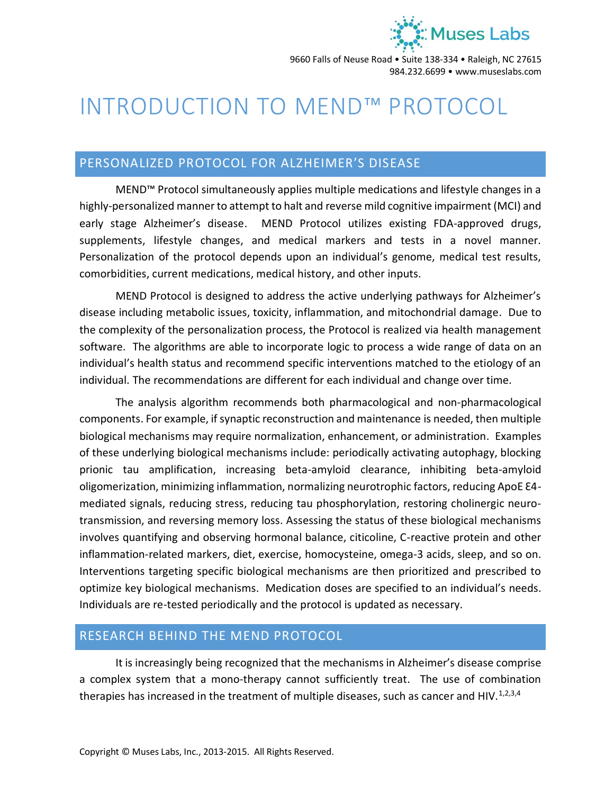

9660 Falls of Neuse Road • Suite 138-334 • Raleigh, NC 27615 984.232.6699 • www.museslabs.com

# INTRODUCTION TO MEND™ PROTOCOL

## PERSONALIZED PROTOCOL FOR ALZHEIMER'S DISEASE

MEND™ Protocol simultaneously applies multiple medications and lifestyle changes in a highly-personalized manner to attempt to halt and reverse mild cognitive impairment (MCI) and early stage Alzheimer's disease. MEND Protocol utilizes existing FDA-approved drugs, supplements, lifestyle changes, and medical markers and tests in a novel manner. Personalization of the protocol depends upon an individual's genome, medical test results, comorbidities, current medications, medical history, and other inputs.

MEND Protocol is designed to address the active underlying pathways for Alzheimer's disease including metabolic issues, toxicity, inflammation, and mitochondrial damage. Due to the complexity of the personalization process, the Protocol is realized via health management software. The algorithms are able to incorporate logic to process a wide range of data on an individual's health status and recommend specific interventions matched to the etiology of an individual. The recommendations are different for each individual and change over time.

The analysis algorithm recommends both pharmacological and non-pharmacological components. For example, if synaptic reconstruction and maintenance is needed, then multiple biological mechanisms may require normalization, enhancement, or administration. Examples of these underlying biological mechanisms include: periodically activating autophagy, blocking prionic tau amplification, increasing beta-amyloid clearance, inhibiting beta-amyloid oligomerization, minimizing inflammation, normalizing neurotrophic factors, reducing ApoE £4mediated signals, reducing stress, reducing tau phosphorylation, restoring cholinergic neurotransmission, and reversing memory loss. Assessing the status of these biological mechanisms involves quantifying and observing hormonal balance, citicoline, C-reactive protein and other inflammation-related markers, diet, exercise, homocysteine, omega-3 acids, sleep, and so on. Interventions targeting specific biological mechanisms are then prioritized and prescribed to optimize key biological mechanisms. Medication doses are specified to an individual's needs. Individuals are re-tested periodically and the protocol is updated as necessary.

## RESEARCH BEHIND THE MEND PROTOCOL

It is increasingly being recognized that the mechanisms in Alzheimer's disease comprise a complex system that a mono-therapy cannot sufficiently treat. The use of combination therapies has increased in the treatment of multiple diseases, such as cancer and HIV.<sup>1,2,3,4</sup>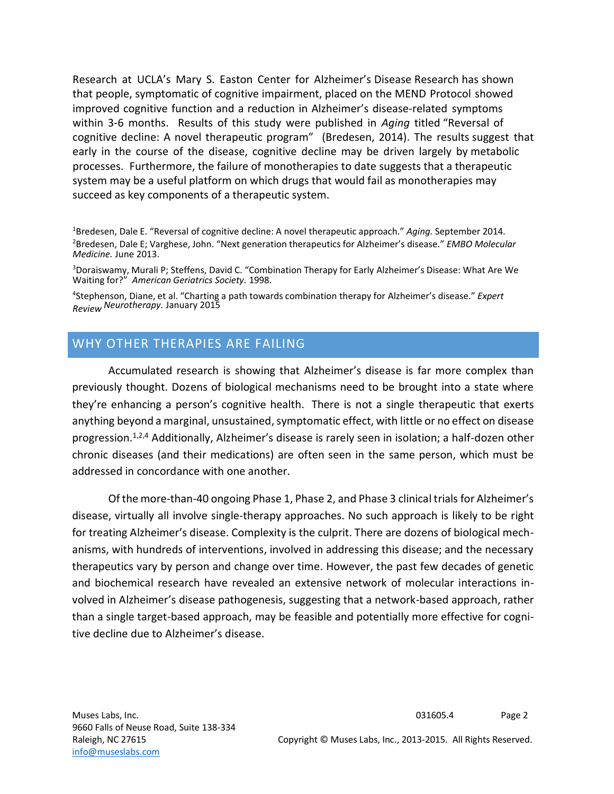Research at UCLA's Mary S. Easton Center for Alzheimer's Disease Research has shown that people, symptomatic of cognitive impairment, placed on the MEND Protocol showed improved cognitive function and a reduction in Alzheimer's disease-related symptoms within 3-6 months. Results of this study were published in *Aging* titled "Reversal of cognitive decline: A novel therapeutic program" (Bredesen, 2014). The results suggest that early in the course of the disease, cognitive decline may be driven largely by metabolic processes. Furthermore, the failure of monotherapies to date suggests that a therapeutic system may be a useful platform on which drugs that would fail as monotherapies may succeed as key components of a therapeutic system.

<sup>1</sup>Bredesen, Dale E. "Reversal of cognitive decline: A novel therapeutic approach." *Aging.* September 2014. <sup>2</sup>Bredesen, Dale E; Varghese, John. "Next generation therapeutics for Alzheimer's disease." *EMBO Molecular Medicine.* June 2013.

<sup>3</sup>Doraiswamy, Murali P; Steffens, David C. "Combination Therapy for Early Alzheimer's Disease: What Are We Waiting for?" *American Geriatrics Society.* 1998.

4 Stephenson, Diane, et al. "Charting a path towards combination therapy for Alzheimer's disease." *Expert Review Neurotherapy.* January 2015

# WHY OTHER THERAPIES ARE FAILING

Accumulated research is showing that Alzheimer's disease is far more complex than previously thought. Dozens of biological mechanisms need to be brought into a state where they're enhancing a person's cognitive health. There is not a single therapeutic that exerts anything beyond a marginal, unsustained, symptomatic effect, with little or no effect on disease progression.<sup>1,2,4</sup> Additionally, Alzheimer's disease is rarely seen in isolation; a half-dozen other chronic diseases (and their medications) are often seen in the same person, which must be addressed in concordance with one another.

Of the more-than-40 ongoing Phase 1, Phase 2, and Phase 3 clinical trials for Alzheimer's disease, virtually all involve single-therapy approaches. No such approach is likely to be right for treating Alzheimer's disease. Complexity is the culprit. There are dozens of biological mechanisms, with hundreds of interventions, involved in addressing this disease; and the necessary therapeutics vary by person and change over time. However, the past few decades of genetic and biochemical research have revealed an extensive network of molecular interactions involved in Alzheimer's disease pathogenesis, suggesting that a network-based approach, rather than a single target-based approach, may be feasible and potentially more effective for cognitive decline due to Alzheimer's disease.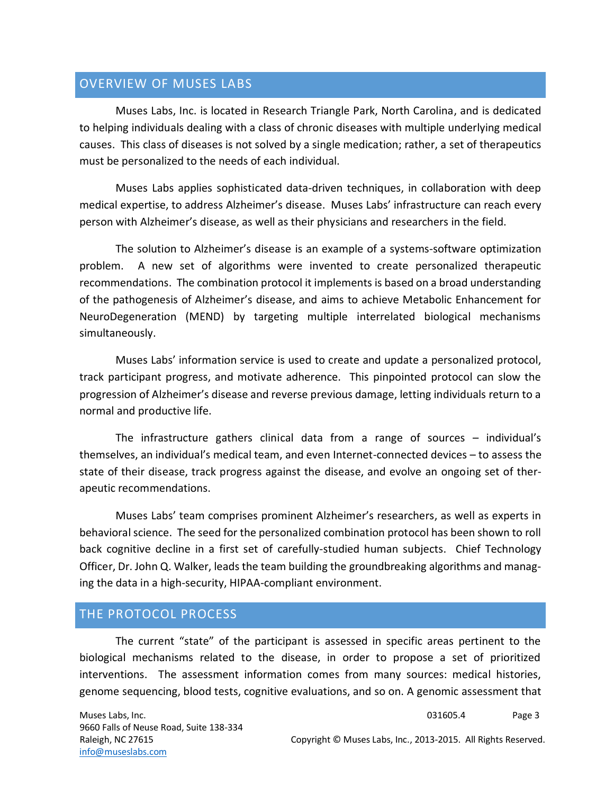## OVERVIEW OF MUSES LABS

Muses Labs, Inc. is located in Research Triangle Park, North Carolina, and is dedicated to helping individuals dealing with a class of chronic diseases with multiple underlying medical causes. This class of diseases is not solved by a single medication; rather, a set of therapeutics must be personalized to the needs of each individual.

Muses Labs applies sophisticated data-driven techniques, in collaboration with deep medical expertise, to address Alzheimer's disease. Muses Labs' infrastructure can reach every person with Alzheimer's disease, as well as their physicians and researchers in the field.

The solution to Alzheimer's disease is an example of a systems-software optimization problem. A new set of algorithms were invented to create personalized therapeutic recommendations. The combination protocol it implements is based on a broad understanding of the pathogenesis of Alzheimer's disease, and aims to achieve Metabolic Enhancement for NeuroDegeneration (MEND) by targeting multiple interrelated biological mechanisms simultaneously.

Muses Labs' information service is used to create and update a personalized protocol, track participant progress, and motivate adherence. This pinpointed protocol can slow the progression of Alzheimer's disease and reverse previous damage, letting individuals return to a normal and productive life.

The infrastructure gathers clinical data from a range of sources – individual's themselves, an individual's medical team, and even Internet-connected devices – to assess the state of their disease, track progress against the disease, and evolve an ongoing set of therapeutic recommendations.

Muses Labs' team comprises prominent Alzheimer's researchers, as well as experts in behavioral science. The seed for the personalized combination protocol has been shown to roll back cognitive decline in a first set of carefully-studied human subjects. Chief Technology Officer, Dr. John Q. Walker, leads the team building the groundbreaking algorithms and managing the data in a high-security, HIPAA-compliant environment.

## THE PROTOCOL PROCESS

The current "state" of the participant is assessed in specific areas pertinent to the biological mechanisms related to the disease, in order to propose a set of prioritized interventions. The assessment information comes from many sources: medical histories, genome sequencing, blood tests, cognitive evaluations, and so on. A genomic assessment that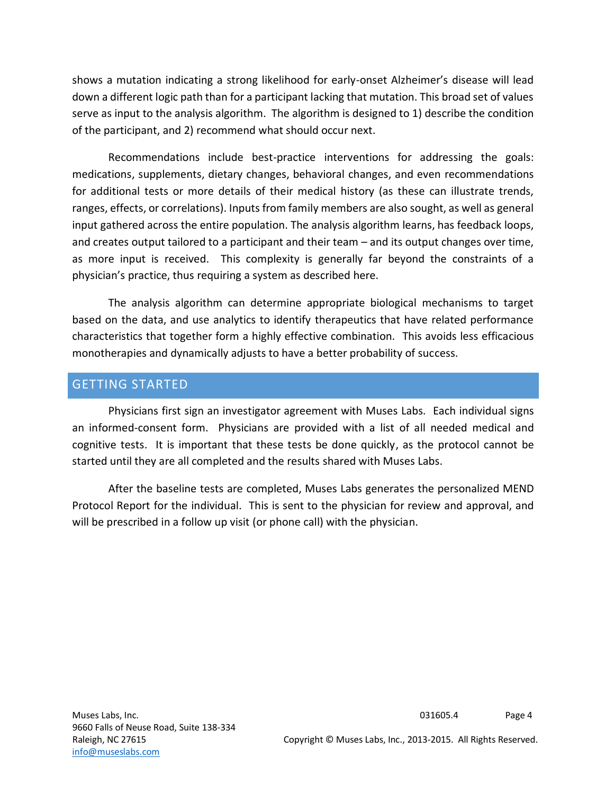shows a mutation indicating a strong likelihood for early-onset Alzheimer's disease will lead down a different logic path than for a participant lacking that mutation. This broad set of values serve as input to the analysis algorithm. The algorithm is designed to 1) describe the condition of the participant, and 2) recommend what should occur next.

Recommendations include best-practice interventions for addressing the goals: medications, supplements, dietary changes, behavioral changes, and even recommendations for additional tests or more details of their medical history (as these can illustrate trends, ranges, effects, or correlations). Inputs from family members are also sought, as well as general input gathered across the entire population. The analysis algorithm learns, has feedback loops, and creates output tailored to a participant and their team – and its output changes over time, as more input is received. This complexity is generally far beyond the constraints of a physician's practice, thus requiring a system as described here.

The analysis algorithm can determine appropriate biological mechanisms to target based on the data, and use analytics to identify therapeutics that have related performance characteristics that together form a highly effective combination. This avoids less efficacious monotherapies and dynamically adjusts to have a better probability of success.

#### GETTING STARTED

Physicians first sign an investigator agreement with Muses Labs. Each individual signs an informed-consent form. Physicians are provided with a list of all needed medical and cognitive tests. It is important that these tests be done quickly, as the protocol cannot be started until they are all completed and the results shared with Muses Labs.

After the baseline tests are completed, Muses Labs generates the personalized MEND Protocol Report for the individual. This is sent to the physician for review and approval, and will be prescribed in a follow up visit (or phone call) with the physician.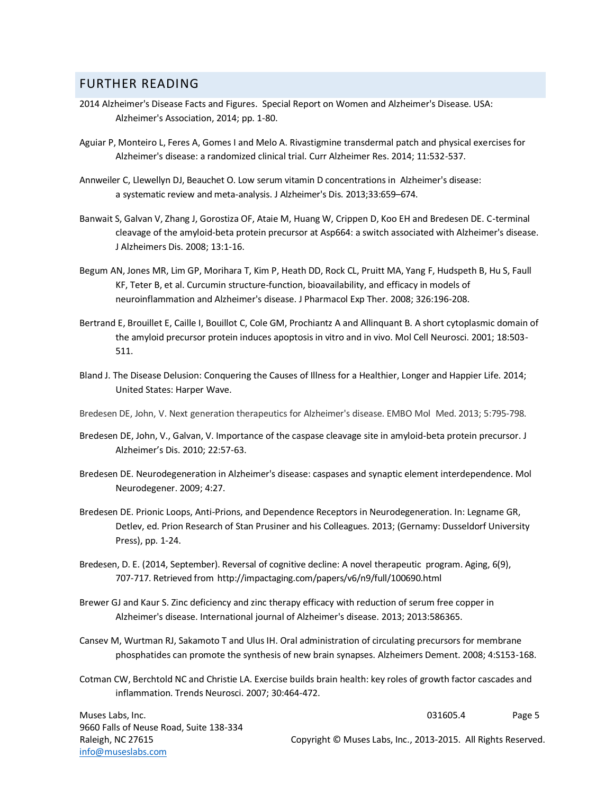#### FURTHER READING

- 2014 Alzheimer's Disease Facts and Figures. Special Report on Women and Alzheimer's Disease. USA: Alzheimer's Association, 2014; pp. 1-80.
- Aguiar P, Monteiro L, Feres A, Gomes I and Melo A. Rivastigmine transdermal patch and physical exercises for Alzheimer's disease: a randomized clinical trial. Curr Alzheimer Res. 2014; 11:532-537.
- Annweiler C, Llewellyn DJ, Beauchet O. Low serum vitamin D concentrations in Alzheimer's disease: a systematic review and meta-analysis. J Alzheimer's Dis. 2013;33:659–674.
- Banwait S, Galvan V, Zhang J, Gorostiza OF, Ataie M, Huang W, Crippen D, Koo EH and Bredesen DE. C-terminal cleavage of the amyloid-beta protein precursor at Asp664: a switch associated with Alzheimer's disease. J Alzheimers Dis. 2008; 13:1-16.
- Begum AN, Jones MR, Lim GP, Morihara T, Kim P, Heath DD, Rock CL, Pruitt MA, Yang F, Hudspeth B, Hu S, Faull KF, Teter B, et al. Curcumin structure-function, bioavailability, and efficacy in models of neuroinflammation and Alzheimer's disease. J Pharmacol Exp Ther. 2008; 326:196-208.
- Bertrand E, Brouillet E, Caille I, Bouillot C, Cole GM, Prochiantz A and Allinquant B. A short cytoplasmic domain of the amyloid precursor protein induces apoptosis in vitro and in vivo. Mol Cell Neurosci. 2001; 18:503- 511.
- Bland J. The Disease Delusion: Conquering the Causes of Illness for a Healthier, Longer and Happier Life. 2014; United States: Harper Wave.

Bredesen DE, John, V. Next generation therapeutics for Alzheimer's disease. EMBO Mol Med. 2013; 5:795-798.

- Bredesen DE, John, V., Galvan, V. Importance of the caspase cleavage site in amyloid-beta protein precursor. J Alzheimer's Dis. 2010; 22:57-63.
- Bredesen DE. Neurodegeneration in Alzheimer's disease: caspases and synaptic element interdependence. Mol Neurodegener. 2009; 4:27.
- Bredesen DE. Prionic Loops, Anti-Prions, and Dependence Receptors in Neurodegeneration. In: Legname GR, Detlev, ed. Prion Research of Stan Prusiner and his Colleagues. 2013; (Gernamy: Dusseldorf University Press), pp. 1-24.
- Bredesen, D. E. (2014, September). Reversal of cognitive decline: A novel therapeutic program. Aging, 6(9), 707-717. Retrieved from<http://impactaging.com/papers/v6/n9/full/100690.html>
- Brewer GJ and Kaur S. Zinc deficiency and zinc therapy efficacy with reduction of serum free copper in Alzheimer's disease. International journal of Alzheimer's disease. 2013; 2013:586365.
- Cansev M, Wurtman RJ, Sakamoto T and Ulus IH. Oral administration of circulating precursors for membrane phosphatides can promote the synthesis of new brain synapses. Alzheimers Dement. 2008; 4:S153-168.
- Cotman CW, Berchtold NC and Christie LA. Exercise builds brain health: key roles of growth factor cascades and inflammation. Trends Neurosci. 2007; 30:464-472.

Muses Labs, Inc. 9660 Falls of Neuse Road, Suite 138-334 Raleigh, NC 27615 [info@museslabs.com](mailto:info@museslabs.com)

031605.4 Page 5

Copyright © Muses Labs, Inc., 2013-2015. All Rights Reserved.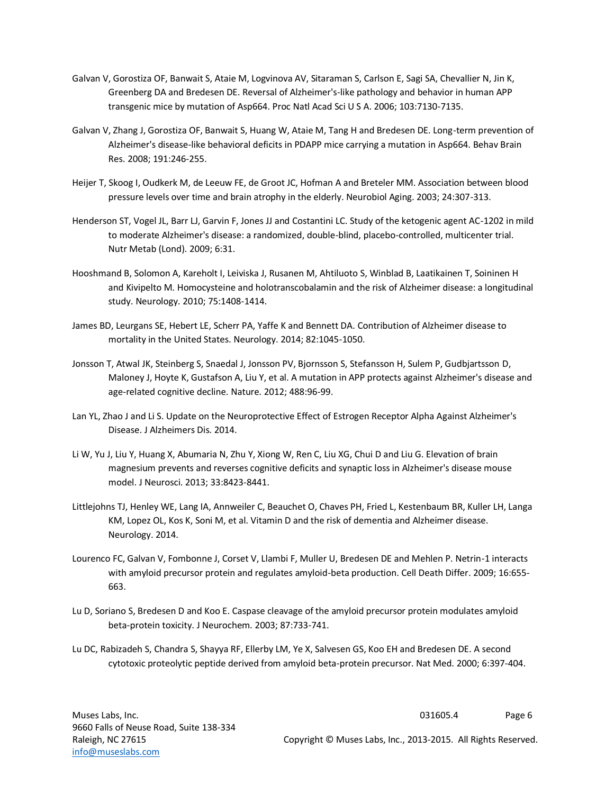- Galvan V, Gorostiza OF, Banwait S, Ataie M, Logvinova AV, Sitaraman S, Carlson E, Sagi SA, Chevallier N, Jin K, Greenberg DA and Bredesen DE. Reversal of Alzheimer's-like pathology and behavior in human APP transgenic mice by mutation of Asp664. Proc Natl Acad Sci U S A. 2006; 103:7130-7135.
- Galvan V, Zhang J, Gorostiza OF, Banwait S, Huang W, Ataie M, Tang H and Bredesen DE. Long-term prevention of Alzheimer's disease-like behavioral deficits in PDAPP mice carrying a mutation in Asp664. Behav Brain Res. 2008; 191:246-255.
- Heijer T, Skoog I, Oudkerk M, de Leeuw FE, de Groot JC, Hofman A and Breteler MM. Association between blood pressure levels over time and brain atrophy in the elderly. Neurobiol Aging. 2003; 24:307-313.
- Henderson ST, Vogel JL, Barr LJ, Garvin F, Jones JJ and Costantini LC. Study of the ketogenic agent AC-1202 in mild to moderate Alzheimer's disease: a randomized, double-blind, placebo-controlled, multicenter trial. Nutr Metab (Lond). 2009; 6:31.
- Hooshmand B, Solomon A, Kareholt I, Leiviska J, Rusanen M, Ahtiluoto S, Winblad B, Laatikainen T, Soininen H and Kivipelto M. Homocysteine and holotranscobalamin and the risk of Alzheimer disease: a longitudinal study. Neurology. 2010; 75:1408-1414.
- James BD, Leurgans SE, Hebert LE, Scherr PA, Yaffe K and Bennett DA. Contribution of Alzheimer disease to mortality in the United States. Neurology. 2014; 82:1045-1050.
- Jonsson T, Atwal JK, Steinberg S, Snaedal J, Jonsson PV, Bjornsson S, Stefansson H, Sulem P, Gudbjartsson D, Maloney J, Hoyte K, Gustafson A, Liu Y, et al. A mutation in APP protects against Alzheimer's disease and age-related cognitive decline. Nature. 2012; 488:96-99.
- Lan YL, Zhao J and Li S. Update on the Neuroprotective Effect of Estrogen Receptor Alpha Against Alzheimer's Disease. J Alzheimers Dis. 2014.
- Li W, Yu J, Liu Y, Huang X, Abumaria N, Zhu Y, Xiong W, Ren C, Liu XG, Chui D and Liu G. Elevation of brain magnesium prevents and reverses cognitive deficits and synaptic loss in Alzheimer's disease mouse model. J Neurosci. 2013; 33:8423-8441.
- Littlejohns TJ, Henley WE, Lang IA, Annweiler C, Beauchet O, Chaves PH, Fried L, Kestenbaum BR, Kuller LH, Langa KM, Lopez OL, Kos K, Soni M, et al. Vitamin D and the risk of dementia and Alzheimer disease. Neurology. 2014.
- Lourenco FC, Galvan V, Fombonne J, Corset V, Llambi F, Muller U, Bredesen DE and Mehlen P. Netrin-1 interacts with amyloid precursor protein and regulates amyloid-beta production. Cell Death Differ. 2009; 16:655- 663.
- Lu D, Soriano S, Bredesen D and Koo E. Caspase cleavage of the amyloid precursor protein modulates amyloid beta-protein toxicity. J Neurochem. 2003; 87:733-741.
- Lu DC, Rabizadeh S, Chandra S, Shayya RF, Ellerby LM, Ye X, Salvesen GS, Koo EH and Bredesen DE. A second cytotoxic proteolytic peptide derived from amyloid beta-protein precursor. Nat Med. 2000; 6:397-404.

031605.4 Page 6

Copyright © Muses Labs, Inc., 2013-2015. All Rights Reserved.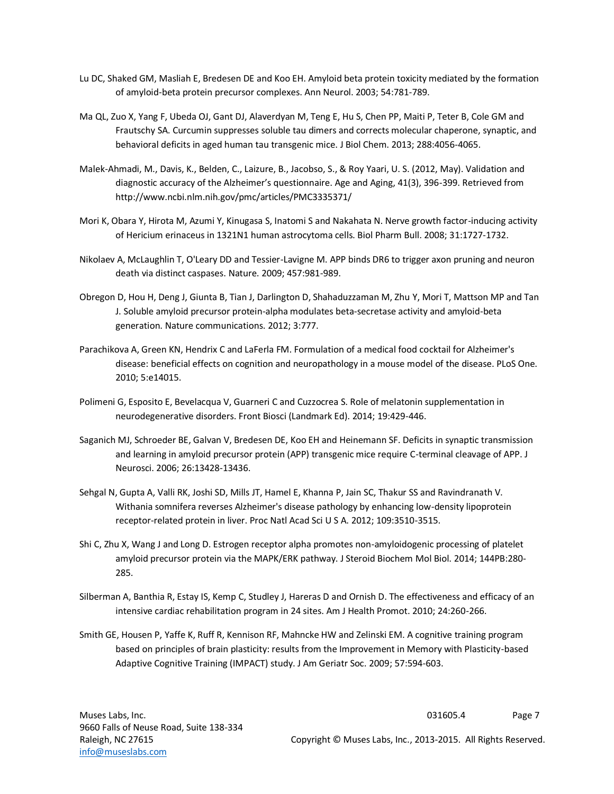- Lu DC, Shaked GM, Masliah E, Bredesen DE and Koo EH. Amyloid beta protein toxicity mediated by the formation of amyloid-beta protein precursor complexes. Ann Neurol. 2003; 54:781-789.
- Ma QL, Zuo X, Yang F, Ubeda OJ, Gant DJ, Alaverdyan M, Teng E, Hu S, Chen PP, Maiti P, Teter B, Cole GM and Frautschy SA. Curcumin suppresses soluble tau dimers and corrects molecular chaperone, synaptic, and behavioral deficits in aged human tau transgenic mice. J Biol Chem. 2013; 288:4056-4065.
- Malek-Ahmadi, M., Davis, K., Belden, C., Laizure, B., Jacobso, S., & Roy Yaari, U. S. (2012, May). Validation and diagnostic accuracy of the Alzheimer's questionnaire. Age and Aging, 41(3), 396-399. Retrieved from http://www.ncbi.nlm.nih.gov/pmc/articles/PMC3335371/
- Mori K, Obara Y, Hirota M, Azumi Y, Kinugasa S, Inatomi S and Nakahata N. Nerve growth factor-inducing activity of Hericium erinaceus in 1321N1 human astrocytoma cells. Biol Pharm Bull. 2008; 31:1727-1732.
- Nikolaev A, McLaughlin T, O'Leary DD and Tessier-Lavigne M. APP binds DR6 to trigger axon pruning and neuron death via distinct caspases. Nature. 2009; 457:981-989.
- Obregon D, Hou H, Deng J, Giunta B, Tian J, Darlington D, Shahaduzzaman M, Zhu Y, Mori T, Mattson MP and Tan J. Soluble amyloid precursor protein-alpha modulates beta-secretase activity and amyloid-beta generation. Nature communications. 2012; 3:777.
- Parachikova A, Green KN, Hendrix C and LaFerla FM. Formulation of a medical food cocktail for Alzheimer's disease: beneficial effects on cognition and neuropathology in a mouse model of the disease. PLoS One. 2010; 5:e14015.
- Polimeni G, Esposito E, Bevelacqua V, Guarneri C and Cuzzocrea S. Role of melatonin supplementation in neurodegenerative disorders. Front Biosci (Landmark Ed). 2014; 19:429-446.
- Saganich MJ, Schroeder BE, Galvan V, Bredesen DE, Koo EH and Heinemann SF. Deficits in synaptic transmission and learning in amyloid precursor protein (APP) transgenic mice require C-terminal cleavage of APP. J Neurosci. 2006; 26:13428-13436.
- Sehgal N, Gupta A, Valli RK, Joshi SD, Mills JT, Hamel E, Khanna P, Jain SC, Thakur SS and Ravindranath V. Withania somnifera reverses Alzheimer's disease pathology by enhancing low-density lipoprotein receptor-related protein in liver. Proc Natl Acad Sci U S A. 2012; 109:3510-3515.
- Shi C, Zhu X, Wang J and Long D. Estrogen receptor alpha promotes non-amyloidogenic processing of platelet amyloid precursor protein via the MAPK/ERK pathway. J Steroid Biochem Mol Biol. 2014; 144PB:280- 285.
- Silberman A, Banthia R, Estay IS, Kemp C, Studley J, Hareras D and Ornish D. The effectiveness and efficacy of an intensive cardiac rehabilitation program in 24 sites. Am J Health Promot. 2010; 24:260-266.
- Smith GE, Housen P, Yaffe K, Ruff R, Kennison RF, Mahncke HW and Zelinski EM. A cognitive training program based on principles of brain plasticity: results from the Improvement in Memory with Plasticity-based Adaptive Cognitive Training (IMPACT) study. J Am Geriatr Soc. 2009; 57:594-603.

031605.4 Page 7